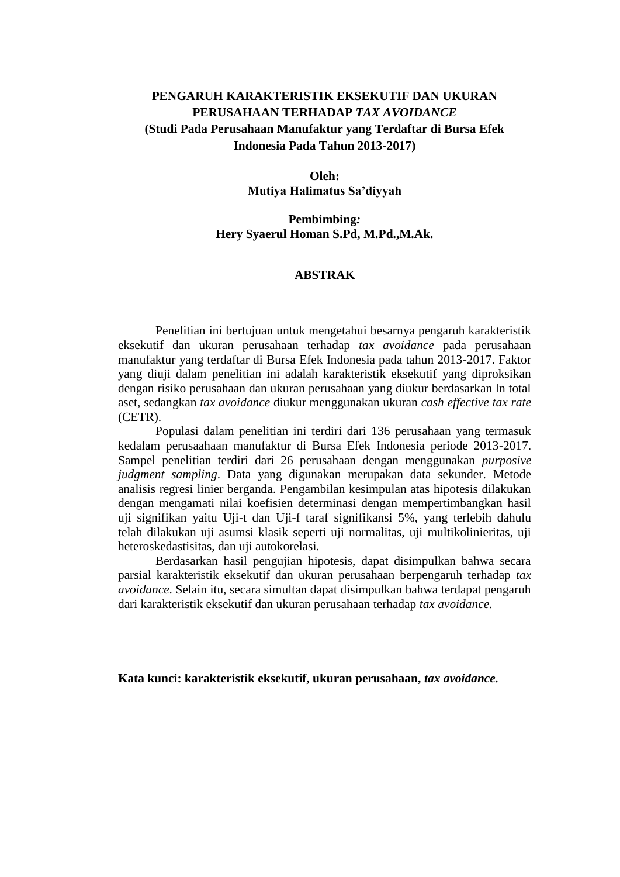# **PENGARUH KARAKTERISTIK EKSEKUTIF DAN UKURAN PERUSAHAAN TERHADAP** *TAX AVOIDANCE* **(Studi Pada Perusahaan Manufaktur yang Terdaftar di Bursa Efek Indonesia Pada Tahun 2013-2017)**

## **Oleh: Mutiya Halimatus Sa'diyyah**

#### **Pembimbing***:* **Hery Syaerul Homan S.Pd, M.Pd.,M.Ak.**

#### **ABSTRAK**

Penelitian ini bertujuan untuk mengetahui besarnya pengaruh karakteristik eksekutif dan ukuran perusahaan terhadap *tax avoidance* pada perusahaan manufaktur yang terdaftar di Bursa Efek Indonesia pada tahun 2013-2017. Faktor yang diuji dalam penelitian ini adalah karakteristik eksekutif yang diproksikan dengan risiko perusahaan dan ukuran perusahaan yang diukur berdasarkan ln total aset, sedangkan *tax avoidance* diukur menggunakan ukuran *cash effective tax rate*  (CETR).

Populasi dalam penelitian ini terdiri dari 136 perusahaan yang termasuk kedalam perusaahaan manufaktur di Bursa Efek Indonesia periode 2013-2017. Sampel penelitian terdiri dari 26 perusahaan dengan menggunakan *purposive judgment sampling*. Data yang digunakan merupakan data sekunder. Metode analisis regresi linier berganda. Pengambilan kesimpulan atas hipotesis dilakukan dengan mengamati nilai koefisien determinasi dengan mempertimbangkan hasil uji signifikan yaitu Uji-t dan Uji-f taraf signifikansi 5%, yang terlebih dahulu telah dilakukan uji asumsi klasik seperti uji normalitas, uji multikolinieritas, uji heteroskedastisitas, dan uji autokorelasi*.* 

Berdasarkan hasil pengujian hipotesis, dapat disimpulkan bahwa secara parsial karakteristik eksekutif dan ukuran perusahaan berpengaruh terhadap *tax avoidance*. Selain itu, secara simultan dapat disimpulkan bahwa terdapat pengaruh dari karakteristik eksekutif dan ukuran perusahaan terhadap *tax avoidance*.

**Kata kunci: karakteristik eksekutif, ukuran perusahaan,** *tax avoidance.*